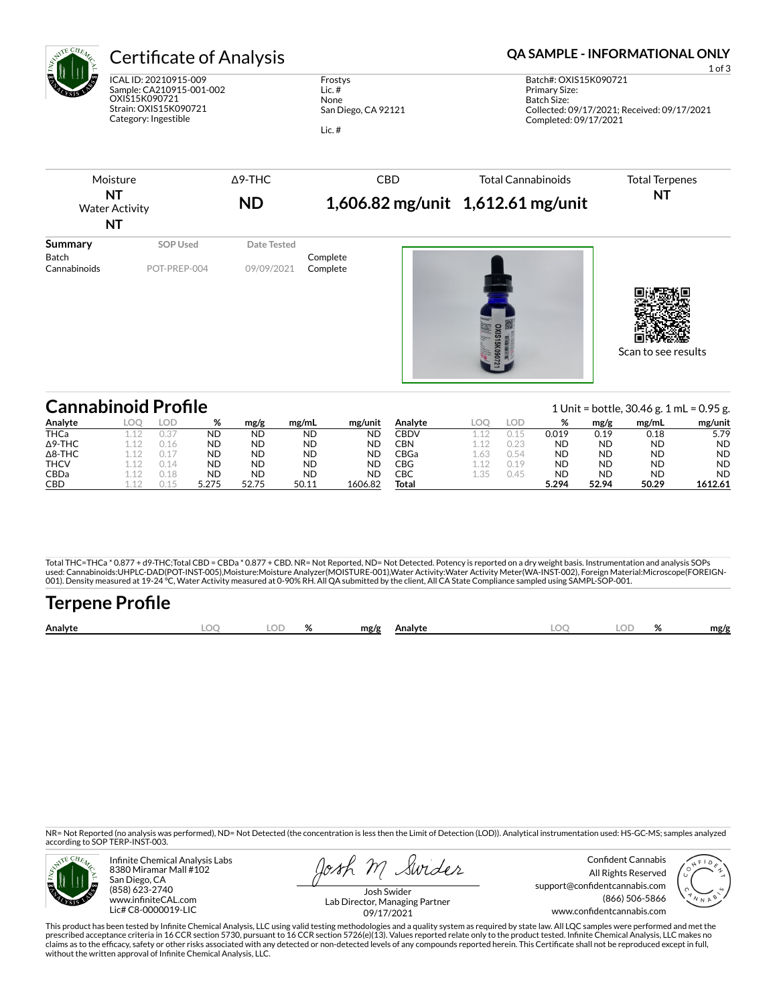

# Certificate of Analysis **Certificate of Analysis QA SAMPLE - INFORMATIONAL ONLY**

ICAL ID: 20210915-009 Sample: CA210915-001-002 OXIS15K090721 Strain: OXIS15K090721 Category: Ingestible

Frostys Lic. # None San Diego, CA 92121 Lic. #

Moisture **NT** Water Activity **NT** Δ9-THC **ND** CBD **1,606.82 mg/unit 1,612.61 mg/unit** Total Cannabinoids Total Terpenes **NT Summary SOP Used** Date Tested Batch Complete<br>Cannabinoids POT-PREP-004 09/09/2021 Complete POT-PREP-004 09/09/2021 Complete Scan to see results

| <b>Cannabinoid Profile</b> |      |      |       |       |           |           |         |     |       |           |           | 1 Unit = bottle, $30.46$ g. 1 mL = 0.95 g. |           |
|----------------------------|------|------|-------|-------|-----------|-----------|---------|-----|-------|-----------|-----------|--------------------------------------------|-----------|
| Analyte                    | LOO. | LOD  | %     | mg/g  | mg/ml     | mg/unit   | Analyte |     | LOD.  | %         | mg/g      | mg/mL                                      | mg/unit   |
| <b>THCa</b>                |      |      | ND    | ND    | <b>ND</b> | <b>ND</b> | CBDV    |     |       | 0.019     | 0.19      | 0.18                                       | 5.79      |
| $\Delta$ 9-THC             |      | 0.16 | ND    | ND    | <b>ND</b> | <b>ND</b> | CBN     |     | ∩ つつ  | <b>ND</b> | <b>ND</b> | <b>ND</b>                                  | <b>ND</b> |
| $\Delta$ 8-THC             |      |      | ND    | ND    | <b>ND</b> | <b>ND</b> | CBGa∶   | .63 | 0.54  | <b>ND</b> | <b>ND</b> | ND                                         | <b>ND</b> |
| <b>THCV</b>                |      | 0.14 | ND    | ND    | <b>ND</b> | <b>ND</b> | CBG     |     | ገ 1 9 | <b>ND</b> | <b>ND</b> | ND                                         | <b>ND</b> |
| <b>CBDa</b>                |      | 0.18 | ND    | ND    | <b>ND</b> | <b>ND</b> | CBC     | .35 | 0.45  | <b>ND</b> | <b>ND</b> | ND                                         | <b>ND</b> |
| <b>CBD</b>                 |      |      | 5.275 | 52.75 | 50.11     | 1606.82   | Total   |     |       | 5.294     | 52.94     | 50.29                                      | 1612.61   |

Total THC=THCa \* 0.877 + d9-THC;Total CBD = CBDa \* 0.877 + CBD. NR= Not Reported, ND= Not Detected. Potency is reported on a dry weight basis. Instrumentation and analysis SOPs used: Cannabinoids:UHPLC-DAD(POT-INST-005),Moisture:Moisture Analyzer(MOISTURE-001),Water Activity:Water Activity Meter(WA-INST-002), Foreign Material:Microscope(FOREIGN-<br>001). Density measured at 19-24 °C, Water Activity

# **Terpene Profile Analyte LOQ LOD % mg/g Analyte LOQ LOD % mg/g**

NR= Not Reported (no analysis was performed), ND= Not Detected (the concentration is less then the Limit of Detection (LOD)). Analytical instrumentation used: HS-GC-MS; samples analyzed according to SOP TERP-INST-003.



Infinite Chemical Analysis Labs 8380 Miramar Mall #102 San Diego, CA (858) 623-2740 www.infiniteCAL.com Lic# C8-0000019-LIC

osh M Swider

Confident Cannabis All Rights Reserved support@confidentcannabis.com (866) 506-5866 www.confidentcannabis.com



Josh Swider Lab Director, Managing Partner 09/17/2021

This product has been tested by Infinite Chemical Analysis, LLC using valid testing methodologies and a quality system as required by state law. All LQC samples were performed and met the prescribed acceptance criteria in 16 CCR section 5730, pursuant to 16 CCR section 5726(e)(13). Values reported relate only to the product tested. Infinite Chemical Analysis, LLC makes no<br>claims as to the efficacy, safety o without the written approval of Infinite Chemical Analysis, LLC.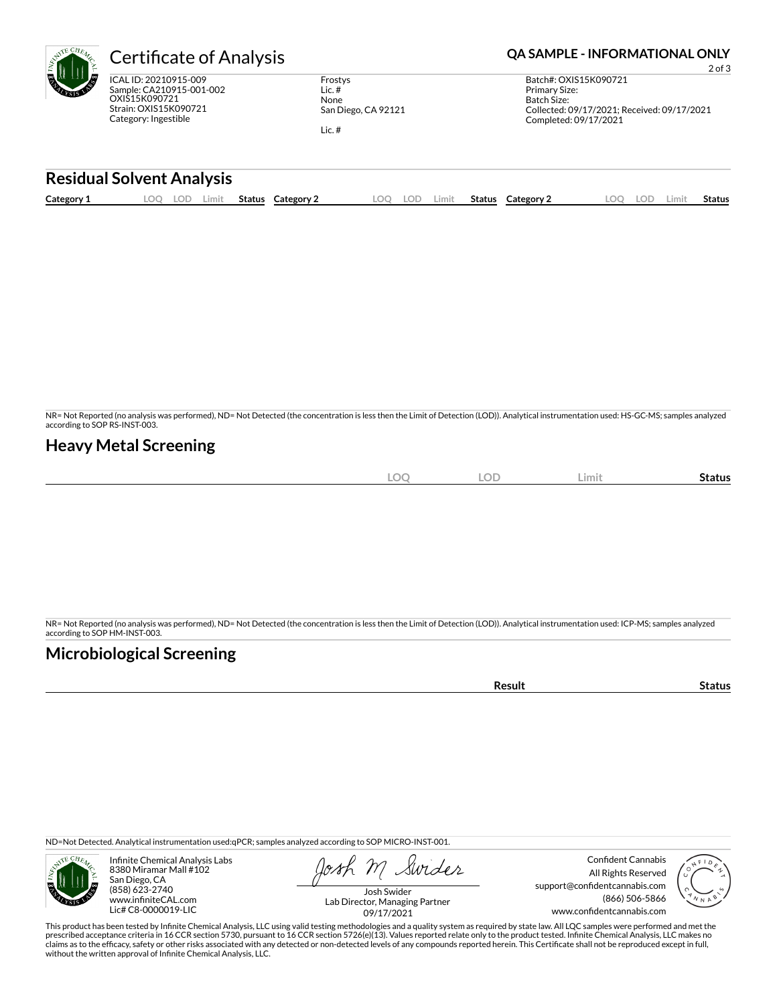| $c_{H_{\mathcal{E}_{\mathcal{U}_{\mathcal{E}}}}}$<br>W | `ertif                                 |
|--------------------------------------------------------|----------------------------------------|
| n,<br>≁                                                | ICAL ID: 20<br>Sample: CA<br>OXIS15K09 |

NR) ó

210915-009 210915-001-002 90721 Strain: OXIS15K090721 Category: Ingestible

Frostys Lic. # None San Diego, CA 92121

Lic. #

## ficate of Analysis **Contract Analysis and CA SAMPLE - INFORMATIONAL ONLY**

2 of 3 Batch#: OXIS15K090721 Primary Size: Batch Size: Collected: 09/17/2021; Received: 09/17/2021 Completed: 09/17/2021

### **Residual Solvent Analysis**

|  | Category: | ~~<br>J.<br>--- | Limit | Status | Category | OC | LOD | Limit. | Status | Category $\angle$ | $\sim$ | LOD. | Limi | . .<br>Status |
|--|-----------|-----------------|-------|--------|----------|----|-----|--------|--------|-------------------|--------|------|------|---------------|
|--|-----------|-----------------|-------|--------|----------|----|-----|--------|--------|-------------------|--------|------|------|---------------|

NR= Not Reported (no analysis was performed), ND= Not Detected (the concentration is less then the Limit of Detection (LOD)). Analytical instrumentation used: HS-GC-MS; samples analyzed according to SOP RS-INST-003.

## **Heavy Metal Screening**

| <b>LOC</b> | <b>LOD</b> | Limit | -<br>Status |
|------------|------------|-------|-------------|
|            |            |       |             |

NR= Not Reported (no analysis was performed), ND= Not Detected (the concentration is less then the Limit of Detection (LOD)). Analytical instrumentation used: ICP-MS; samples analyzed according to SOP HM-INST-003.

## **Microbiological Screening**

**Result Status** 

ND=Not Detected. Analytical instrumentation used:qPCR; samples analyzed according to SOP MICRO-INST-001.



Infinite Chemical Analysis Labs 8380 Miramar Mall #102 San Diego, CA (858) 623-2740 www.infiniteCAL.com Lic# C8-0000019-LIC

Swider

Confident Cannabis All Rights Reserved support@confidentcannabis.com (866) 506-5866 www.confidentcannabis.com



Josh Swider Lab Director, Managing Partner 09/17/2021

This product has been tested by Infinite Chemical Analysis, LLC using valid testing methodologies and a quality system as required by state law. All LQC samples were performed and met the prescribed acceptance criteria in 16 CCR section 5730, pursuant to 16 CCR section 5726(e)(13). Values reported relate only to the product tested. Infinite Chemical Analysis, LLC makes no<br>claims as to the efficacy, safety o without the written approval of Infinite Chemical Analysis, LLC.